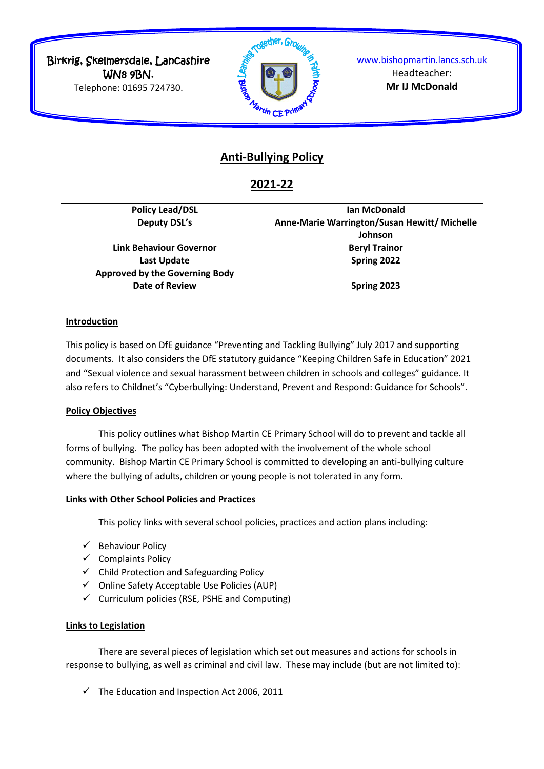Birkrig, Skelmersdale, Lancashire WN8 9BN. Telephone: 01695 724730.



[www.bishopmartin.lancs.sch.uk](http://www.bishopmartin.lancs.sch.uk/) Headteacher: **Mr IJ McDonald**

# **Anti-Bullying Policy**

## **2021-22**

| <b>Policy Lead/DSL</b>         | Ian McDonald                                 |
|--------------------------------|----------------------------------------------|
| <b>Deputy DSL's</b>            | Anne-Marie Warrington/Susan Hewitt/ Michelle |
|                                | Johnson                                      |
| Link Behaviour Governor        | <b>Beryl Trainor</b>                         |
| Last Update                    | Spring 2022                                  |
| Approved by the Governing Body |                                              |
| <b>Date of Review</b>          | Spring 2023                                  |
|                                |                                              |

#### **Introduction**

This policy is based on DfE guidance "Preventing and Tackling Bullying" July 2017 and supporting documents. It also considers the DfE statutory guidance "Keeping Children Safe in Education" 2021 and "Sexual violence and sexual harassment between children in schools and colleges" guidance. It also refers to Childnet's "Cyberbullying: Understand, Prevent and Respond: Guidance for Schools".

#### **Policy Objectives**

This policy outlines what Bishop Martin CE Primary School will do to prevent and tackle all forms of bullying. The policy has been adopted with the involvement of the whole school community. Bishop Martin CE Primary School is committed to developing an anti-bullying culture where the bullying of adults, children or young people is not tolerated in any form.

#### **Links with Other School Policies and Practices**

This policy links with several school policies, practices and action plans including:

- $\checkmark$  Behaviour Policy
- $\checkmark$  Complaints Policy
- $\checkmark$  Child Protection and Safeguarding Policy
- $\checkmark$  Online Safety Acceptable Use Policies (AUP)
- $\checkmark$  Curriculum policies (RSE, PSHE and Computing)

#### **Links to Legislation**

There are several pieces of legislation which set out measures and actions for schools in response to bullying, as well as criminal and civil law. These may include (but are not limited to):

 $\checkmark$  The Education and Inspection Act 2006, 2011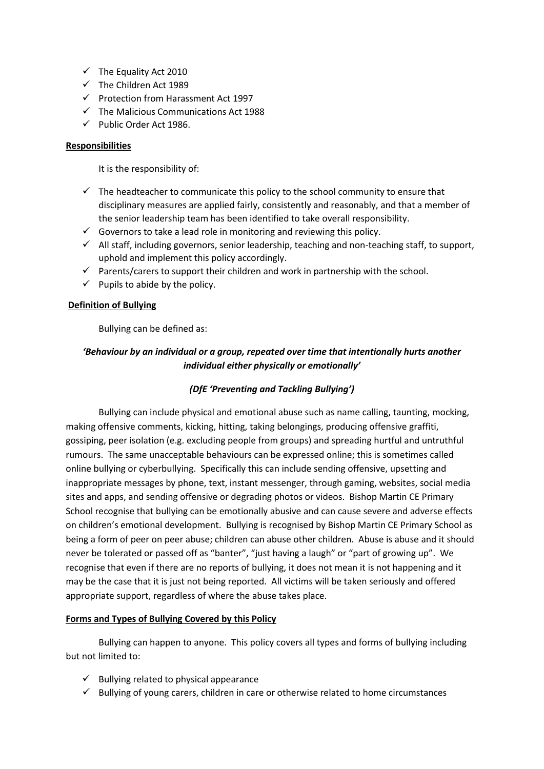- $\checkmark$  The Equality Act 2010
- $\checkmark$  The Children Act 1989
- $\checkmark$  Protection from Harassment Act 1997
- $\checkmark$  The Malicious Communications Act 1988
- $\checkmark$  Public Order Act 1986.

#### **Responsibilities**

It is the responsibility of:

- $\checkmark$  The headteacher to communicate this policy to the school community to ensure that disciplinary measures are applied fairly, consistently and reasonably, and that a member of the senior leadership team has been identified to take overall responsibility.
- $\checkmark$  Governors to take a lead role in monitoring and reviewing this policy.
- $\checkmark$  All staff, including governors, senior leadership, teaching and non-teaching staff, to support, uphold and implement this policy accordingly.
- $\checkmark$  Parents/carers to support their children and work in partnership with the school.
- $\checkmark$  Pupils to abide by the policy.

#### **Definition of Bullying**

Bullying can be defined as:

## *'Behaviour by an individual or a group, repeated over time that intentionally hurts another individual either physically or emotionally'*

#### *(DfE 'Preventing and Tackling Bullying')*

Bullying can include physical and emotional abuse such as name calling, taunting, mocking, making offensive comments, kicking, hitting, taking belongings, producing offensive graffiti, gossiping, peer isolation (e.g. excluding people from groups) and spreading hurtful and untruthful rumours. The same unacceptable behaviours can be expressed online; this is sometimes called online bullying or cyberbullying. Specifically this can include sending offensive, upsetting and inappropriate messages by phone, text, instant messenger, through gaming, websites, social media sites and apps, and sending offensive or degrading photos or videos. Bishop Martin CE Primary School recognise that bullying can be emotionally abusive and can cause severe and adverse effects on children's emotional development. Bullying is recognised by Bishop Martin CE Primary School as being a form of peer on peer abuse; children can abuse other children. Abuse is abuse and it should never be tolerated or passed off as "banter", "just having a laugh" or "part of growing up". We recognise that even if there are no reports of bullying, it does not mean it is not happening and it may be the case that it is just not being reported. All victims will be taken seriously and offered appropriate support, regardless of where the abuse takes place.

#### **Forms and Types of Bullying Covered by this Policy**

Bullying can happen to anyone. This policy covers all types and forms of bullying including but not limited to:

- $\checkmark$  Bullying related to physical appearance
- $\checkmark$  Bullying of young carers, children in care or otherwise related to home circumstances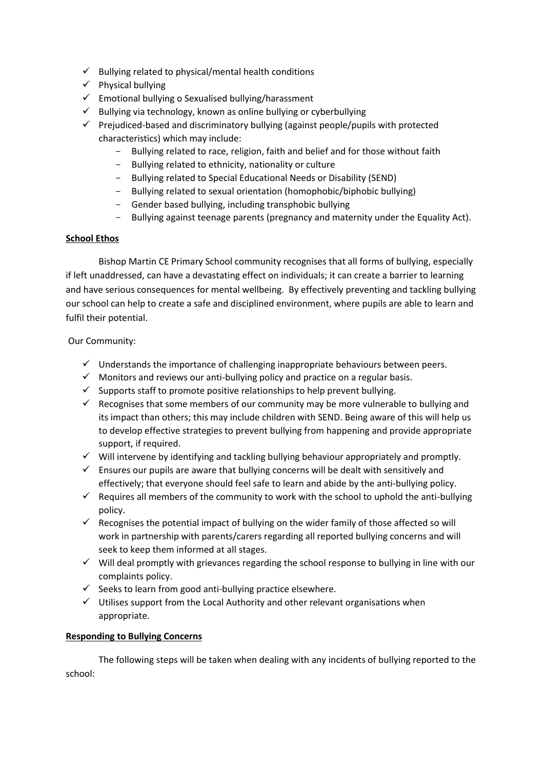- $\checkmark$  Bullying related to physical/mental health conditions
- $\checkmark$  Physical bullying
- $\checkmark$  Emotional bullying o Sexualised bullying/harassment
- $\checkmark$  Bullying via technology, known as online bullying or cyberbullying
- $\checkmark$  Prejudiced-based and discriminatory bullying (against people/pupils with protected characteristics) which may include:
	- Bullying related to race, religion, faith and belief and for those without faith
	- Bullying related to ethnicity, nationality or culture
	- Bullying related to Special Educational Needs or Disability (SEND)
	- Bullying related to sexual orientation (homophobic/biphobic bullying)
	- Gender based bullying, including transphobic bullying
	- Bullying against teenage parents (pregnancy and maternity under the Equality Act).

## **School Ethos**

Bishop Martin CE Primary School community recognises that all forms of bullying, especially if left unaddressed, can have a devastating effect on individuals; it can create a barrier to learning and have serious consequences for mental wellbeing. By effectively preventing and tackling bullying our school can help to create a safe and disciplined environment, where pupils are able to learn and fulfil their potential.

Our Community:

- $\checkmark$  Understands the importance of challenging inappropriate behaviours between peers.
- $\checkmark$  Monitors and reviews our anti-bullying policy and practice on a regular basis.
- $\checkmark$  Supports staff to promote positive relationships to help prevent bullying.
- $\checkmark$  Recognises that some members of our community may be more vulnerable to bullying and its impact than others; this may include children with SEND. Being aware of this will help us to develop effective strategies to prevent bullying from happening and provide appropriate support, if required.
- $\checkmark$  Will intervene by identifying and tackling bullying behaviour appropriately and promptly.
- $\checkmark$  Ensures our pupils are aware that bullying concerns will be dealt with sensitively and effectively; that everyone should feel safe to learn and abide by the anti-bullying policy.
- $\checkmark$  Requires all members of the community to work with the school to uphold the anti-bullying policy.
- $\checkmark$  Recognises the potential impact of bullying on the wider family of those affected so will work in partnership with parents/carers regarding all reported bullying concerns and will seek to keep them informed at all stages.
- $\checkmark$  Will deal promptly with grievances regarding the school response to bullying in line with our complaints policy.
- $\checkmark$  Seeks to learn from good anti-bullying practice elsewhere.
- $\checkmark$  Utilises support from the Local Authority and other relevant organisations when appropriate.

#### **Responding to Bullying Concerns**

The following steps will be taken when dealing with any incidents of bullying reported to the school: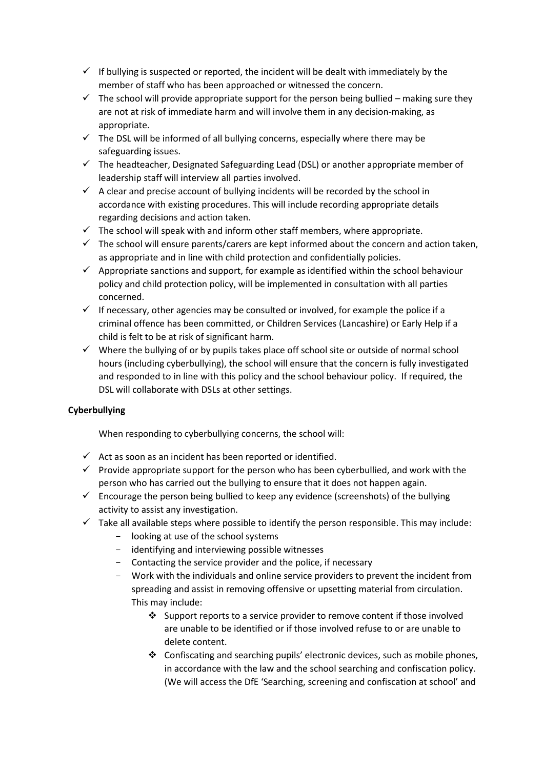- $\checkmark$  If bullying is suspected or reported, the incident will be dealt with immediately by the member of staff who has been approached or witnessed the concern.
- $\checkmark$  The school will provide appropriate support for the person being bullied making sure they are not at risk of immediate harm and will involve them in any decision-making, as appropriate.
- $\checkmark$  The DSL will be informed of all bullying concerns, especially where there may be safeguarding issues.
- $\checkmark$  The headteacher, Designated Safeguarding Lead (DSL) or another appropriate member of leadership staff will interview all parties involved.
- $\checkmark$  A clear and precise account of bullying incidents will be recorded by the school in accordance with existing procedures. This will include recording appropriate details regarding decisions and action taken.
- $\checkmark$  The school will speak with and inform other staff members, where appropriate.
- $\checkmark$  The school will ensure parents/carers are kept informed about the concern and action taken, as appropriate and in line with child protection and confidentially policies.
- $\checkmark$  Appropriate sanctions and support, for example as identified within the school behaviour policy and child protection policy, will be implemented in consultation with all parties concerned.
- $\checkmark$  If necessary, other agencies may be consulted or involved, for example the police if a criminal offence has been committed, or Children Services (Lancashire) or Early Help if a child is felt to be at risk of significant harm.
- $\checkmark$  Where the bullying of or by pupils takes place off school site or outside of normal school hours (including cyberbullying), the school will ensure that the concern is fully investigated and responded to in line with this policy and the school behaviour policy. If required, the DSL will collaborate with DSLs at other settings.

## **Cyberbullying**

When responding to cyberbullying concerns, the school will:

- $\checkmark$  Act as soon as an incident has been reported or identified.
- $\checkmark$  Provide appropriate support for the person who has been cyberbullied, and work with the person who has carried out the bullying to ensure that it does not happen again.
- $\checkmark$  Encourage the person being bullied to keep any evidence (screenshots) of the bullying activity to assist any investigation.
- $\checkmark$  Take all available steps where possible to identify the person responsible. This may include:
	- looking at use of the school systems
	- identifying and interviewing possible witnesses
	- Contacting the service provider and the police, if necessary
	- Work with the individuals and online service providers to prevent the incident from spreading and assist in removing offensive or upsetting material from circulation. This may include:
		- $\cdot$  Support reports to a service provider to remove content if those involved are unable to be identified or if those involved refuse to or are unable to delete content.
		- $\div$  Confiscating and searching pupils' electronic devices, such as mobile phones, in accordance with the law and the school searching and confiscation policy. (We will access the DfE 'Searching, screening and confiscation at school' and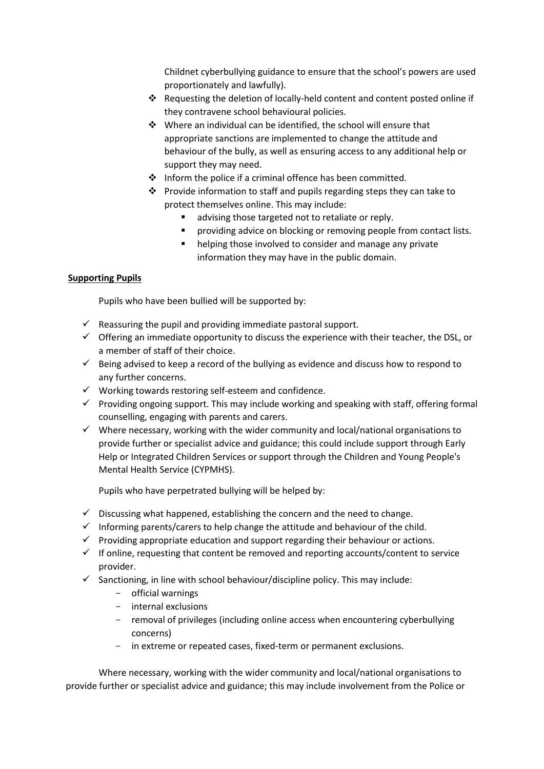Childnet cyberbullying guidance to ensure that the school's powers are used proportionately and lawfully).

- Requesting the deletion of locally-held content and content posted online if they contravene school behavioural policies.
- Where an individual can be identified, the school will ensure that appropriate sanctions are implemented to change the attitude and behaviour of the bully, as well as ensuring access to any additional help or support they may need.
- $\cdot \cdot$  Inform the police if a criminal offence has been committed.
- ❖ Provide information to staff and pupils regarding steps they can take to protect themselves online. This may include:
	- **a** advising those targeted not to retaliate or reply.
	- providing advice on blocking or removing people from contact lists.
	- **helping those involved to consider and manage any private** information they may have in the public domain.

## **Supporting Pupils**

Pupils who have been bullied will be supported by:

- $\checkmark$  Reassuring the pupil and providing immediate pastoral support.
- $\checkmark$  Offering an immediate opportunity to discuss the experience with their teacher, the DSL, or a member of staff of their choice.
- $\checkmark$  Being advised to keep a record of the bullying as evidence and discuss how to respond to any further concerns.
- $\checkmark$  Working towards restoring self-esteem and confidence.
- $\checkmark$  Providing ongoing support. This may include working and speaking with staff, offering formal counselling, engaging with parents and carers.
- $\checkmark$  Where necessary, working with the wider community and local/national organisations to provide further or specialist advice and guidance; this could include support through Early Help or Integrated Children Services or support through the Children and Young People's Mental Health Service (CYPMHS).

Pupils who have perpetrated bullying will be helped by:

- $\checkmark$  Discussing what happened, establishing the concern and the need to change.
- $\checkmark$  Informing parents/carers to help change the attitude and behaviour of the child.
- $\checkmark$  Providing appropriate education and support regarding their behaviour or actions.
- $\checkmark$  If online, requesting that content be removed and reporting accounts/content to service provider.
- $\checkmark$  Sanctioning, in line with school behaviour/discipline policy. This may include:
	- official warnings
	- internal exclusions
	- removal of privileges (including online access when encountering cyberbullying concerns)
	- in extreme or repeated cases, fixed-term or permanent exclusions.

Where necessary, working with the wider community and local/national organisations to provide further or specialist advice and guidance; this may include involvement from the Police or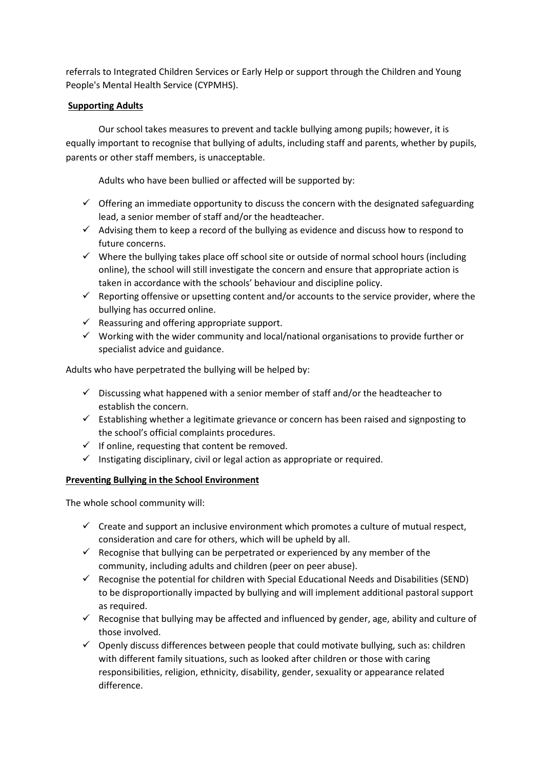referrals to Integrated Children Services or Early Help or support through the Children and Young People's Mental Health Service (CYPMHS).

#### **Supporting Adults**

Our school takes measures to prevent and tackle bullying among pupils; however, it is equally important to recognise that bullying of adults, including staff and parents, whether by pupils, parents or other staff members, is unacceptable.

Adults who have been bullied or affected will be supported by:

- $\checkmark$  Offering an immediate opportunity to discuss the concern with the designated safeguarding lead, a senior member of staff and/or the headteacher.
- $\checkmark$  Advising them to keep a record of the bullying as evidence and discuss how to respond to future concerns.
- $\checkmark$  Where the bullying takes place off school site or outside of normal school hours (including online), the school will still investigate the concern and ensure that appropriate action is taken in accordance with the schools' behaviour and discipline policy.
- $\checkmark$  Reporting offensive or upsetting content and/or accounts to the service provider, where the bullying has occurred online.
- $\checkmark$  Reassuring and offering appropriate support.
- $\checkmark$  Working with the wider community and local/national organisations to provide further or specialist advice and guidance.

Adults who have perpetrated the bullying will be helped by:

- $\checkmark$  Discussing what happened with a senior member of staff and/or the headteacher to establish the concern.
- $\checkmark$  Establishing whether a legitimate grievance or concern has been raised and signposting to the school's official complaints procedures.
- $\checkmark$  If online, requesting that content be removed.
- $\checkmark$  Instigating disciplinary, civil or legal action as appropriate or required.

#### **Preventing Bullying in the School Environment**

The whole school community will:

- $\checkmark$  Create and support an inclusive environment which promotes a culture of mutual respect, consideration and care for others, which will be upheld by all.
- $\checkmark$  Recognise that bullying can be perpetrated or experienced by any member of the community, including adults and children (peer on peer abuse).
- $\checkmark$  Recognise the potential for children with Special Educational Needs and Disabilities (SEND) to be disproportionally impacted by bullying and will implement additional pastoral support as required.
- $\checkmark$  Recognise that bullying may be affected and influenced by gender, age, ability and culture of those involved.
- $\checkmark$  Openly discuss differences between people that could motivate bullying, such as: children with different family situations, such as looked after children or those with caring responsibilities, religion, ethnicity, disability, gender, sexuality or appearance related difference.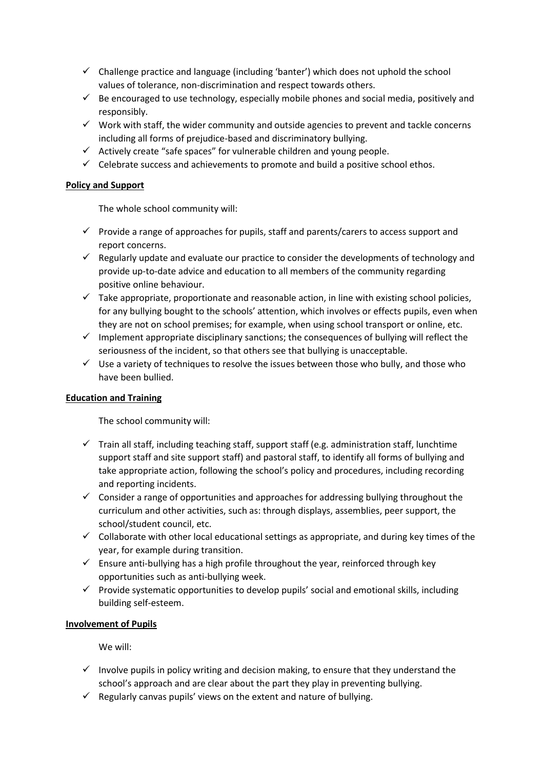- $\checkmark$  Challenge practice and language (including 'banter') which does not uphold the school values of tolerance, non-discrimination and respect towards others.
- $\checkmark$  Be encouraged to use technology, especially mobile phones and social media, positively and responsibly.
- $\checkmark$  Work with staff, the wider community and outside agencies to prevent and tackle concerns including all forms of prejudice-based and discriminatory bullying.
- $\checkmark$  Actively create "safe spaces" for vulnerable children and young people.
- $\checkmark$  Celebrate success and achievements to promote and build a positive school ethos.

#### **Policy and Support**

The whole school community will:

- $\checkmark$  Provide a range of approaches for pupils, staff and parents/carers to access support and report concerns.
- $\checkmark$  Regularly update and evaluate our practice to consider the developments of technology and provide up-to-date advice and education to all members of the community regarding positive online behaviour.
- $\checkmark$  Take appropriate, proportionate and reasonable action, in line with existing school policies, for any bullying bought to the schools' attention, which involves or effects pupils, even when they are not on school premises; for example, when using school transport or online, etc.
- $\checkmark$  Implement appropriate disciplinary sanctions; the consequences of bullying will reflect the seriousness of the incident, so that others see that bullying is unacceptable.
- $\checkmark$  Use a variety of techniques to resolve the issues between those who bully, and those who have been bullied.

#### **Education and Training**

The school community will:

- $\checkmark$  Train all staff, including teaching staff, support staff (e.g. administration staff, lunchtime support staff and site support staff) and pastoral staff, to identify all forms of bullying and take appropriate action, following the school's policy and procedures, including recording and reporting incidents.
- $\checkmark$  Consider a range of opportunities and approaches for addressing bullying throughout the curriculum and other activities, such as: through displays, assemblies, peer support, the school/student council, etc.
- $\checkmark$  Collaborate with other local educational settings as appropriate, and during key times of the year, for example during transition.
- $\checkmark$  Ensure anti-bullying has a high profile throughout the year, reinforced through key opportunities such as anti-bullying week.
- $\checkmark$  Provide systematic opportunities to develop pupils' social and emotional skills, including building self-esteem.

#### **Involvement of Pupils**

We will:

- $\checkmark$  Involve pupils in policy writing and decision making, to ensure that they understand the school's approach and are clear about the part they play in preventing bullying.
- $\checkmark$  Regularly canvas pupils' views on the extent and nature of bullying.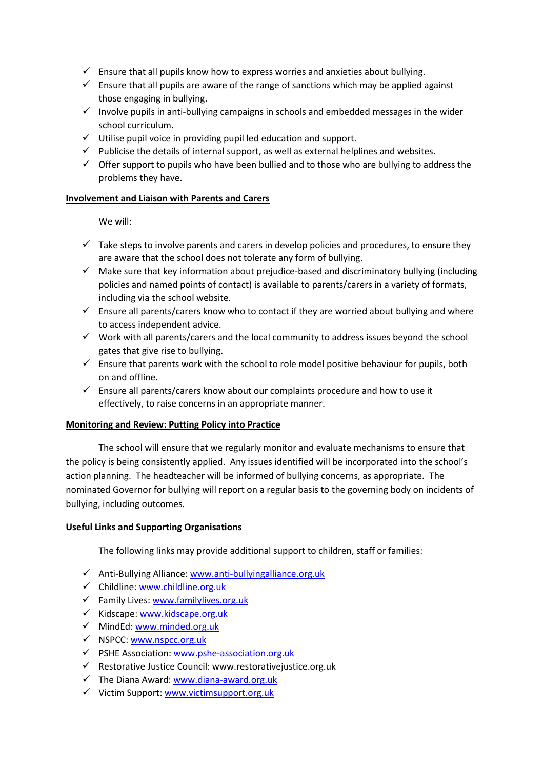- $\checkmark$  Ensure that all pupils know how to express worries and anxieties about bullying.
- $\checkmark$  Ensure that all pupils are aware of the range of sanctions which may be applied against those engaging in bullying.
- $\checkmark$  Involve pupils in anti-bullying campaigns in schools and embedded messages in the wider school curriculum.
- $\checkmark$  Utilise pupil voice in providing pupil led education and support.
- $\checkmark$  Publicise the details of internal support, as well as external helplines and websites.
- $\checkmark$  Offer support to pupils who have been bullied and to those who are bullying to address the problems they have.

#### **Involvement and Liaison with Parents and Carers**

We will:

- $\checkmark$  Take steps to involve parents and carers in develop policies and procedures, to ensure they are aware that the school does not tolerate any form of bullying.
- $\checkmark$  Make sure that key information about prejudice-based and discriminatory bullying (including policies and named points of contact) is available to parents/carers in a variety of formats, including via the school website.
- $\checkmark$  Ensure all parents/carers know who to contact if they are worried about bullying and where to access independent advice.
- $\checkmark$  Work with all parents/carers and the local community to address issues beyond the school gates that give rise to bullying.
- $\checkmark$  Ensure that parents work with the school to role model positive behaviour for pupils, both on and offline.
- $\checkmark$  Ensure all parents/carers know about our complaints procedure and how to use it effectively, to raise concerns in an appropriate manner.

#### **Monitoring and Review: Putting Policy into Practice**

The school will ensure that we regularly monitor and evaluate mechanisms to ensure that the policy is being consistently applied. Any issues identified will be incorporated into the school's action planning. The headteacher will be informed of bullying concerns, as appropriate. The nominated Governor for bullying will report on a regular basis to the governing body on incidents of bullying, including outcomes.

#### **Useful Links and Supporting Organisations**

The following links may provide additional support to children, staff or families:

- $\checkmark$  Anti-Bullying Alliance: [www.anti-bullyingalliance.org.uk](http://www.anti-bullyingalliance.org.uk/)
- $\checkmark$  Childline: [www.childline.org.uk](http://www.childline.org.uk/)
- $\checkmark$  Family Lives: [www.familylives.org.uk](http://www.familylives.org.uk/)
- $\checkmark$  Kidscape: [www.kidscape.org.uk](http://www.kidscape.org.uk/)
- $\checkmark$  MindEd: [www.minded.org.uk](http://www.minded.org.uk/)
- NSPCC: [www.nspcc.org.uk](http://www.nspcc.org.uk/)
- $\checkmark$  PSHE Association: [www.pshe-association.org.uk](http://www.pshe-association.org.uk/)
- $\checkmark$  Restorative Justice Council: www.restorativejustice.org.uk
- $\checkmark$  The Diana Award[: www.diana-award.org.uk](http://www.diana-award.org.uk/)
- $\checkmark$  Victim Support: [www.victimsupport.org.uk](http://www.victimsupport.org.uk/)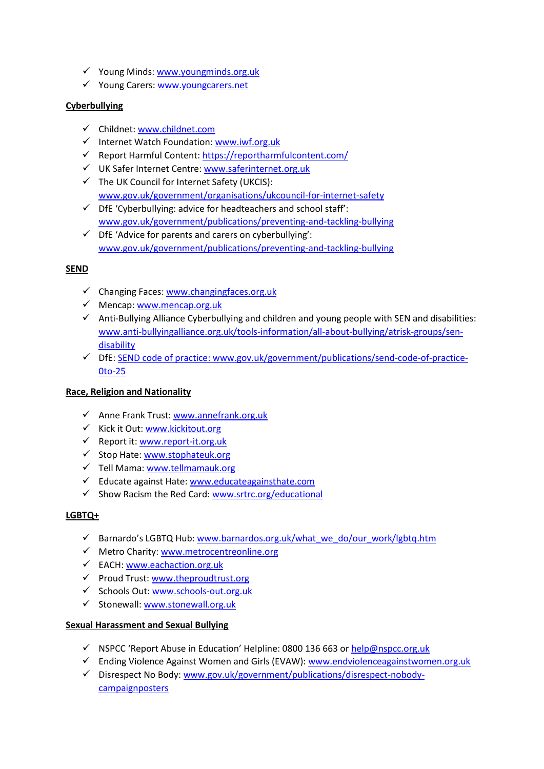- $\checkmark$  Young Minds[: www.youngminds.org.uk](http://www.youngminds.org.uk/)
- Young Carers[: www.youngcarers.net](file://///08045admin/userdata$/Users/adminusers/IMcDonald/Admin/www.youngcarers.net%20%20)

## **Cyberbullying**

- Childnet: [www.childnet.com](http://www.childnet.com/)
- $\checkmark$  Internet Watch Foundation: [www.iwf.org.uk](http://www.iwf.org.uk/)
- $\checkmark$  Report Harmful Content[: https://reportharmfulcontent.com/](https://reportharmfulcontent.com/)
- UK Safer Internet Centre: [www.saferinternet.org.uk](http://www.saferinternet.org.uk/)
- $\checkmark$  The UK Council for Internet Safety (UKCIS): [www.gov.uk/government/organisations/ukcouncil-for-internet-safety](http://www.gov.uk/government/organisations/ukcouncil-for-internet-safety)
- $\checkmark$  DfE 'Cyberbullying: advice for headteachers and school staff': [www.gov.uk/government/publications/preventing-and-tackling-bullying](http://www.gov.uk/government/publications/preventing-and-tackling-bullying)
- $\checkmark$  DfE 'Advice for parents and carers on cyberbullying': [www.gov.uk/government/publications/preventing-and-tackling-bullying](file://///08045admin/userdata$/Users/adminusers/IMcDonald/Admin/www.gov.uk/government/publications/preventing-and-tackling-bullying)

## **SEND**

- $\checkmark$  Changing Faces: [www.changingfaces.org.uk](http://www.changingfaces.org.uk/)
- $\checkmark$  Mencap: [www.mencap.org.uk](http://www.mencap.org.uk/)
- $\checkmark$  Anti-Bullying Alliance Cyberbullying and children and young people with SEN and disabilities: [www.anti-bullyingalliance.org.uk/tools-information/all-about-bullying/atrisk-groups/sen](file://///08045admin/userdata$/Users/adminusers/IMcDonald/Admin/www.anti-bullyingalliance.org.uk/tools-information/all-about-bullying/atrisk-groups/sen-disability)[disability](file://///08045admin/userdata$/Users/adminusers/IMcDonald/Admin/www.anti-bullyingalliance.org.uk/tools-information/all-about-bullying/atrisk-groups/sen-disability)
- DfE: [SEND code of practice: www.gov.uk/government/publications/send-code-of-practice-](file://///08045admin/userdata$/Users/adminusers/IMcDonald/Admin/SEND%20code%20of%20practice:%20www.gov.uk/government/publications/send-code-of-practice-0to-25)[0to-25](file://///08045admin/userdata$/Users/adminusers/IMcDonald/Admin/SEND%20code%20of%20practice:%20www.gov.uk/government/publications/send-code-of-practice-0to-25)

#### **Race, Religion and Nationality**

- $\checkmark$  Anne Frank Trust[: www.annefrank.org.uk](http://www.annefrank.org.uk/)
- $\checkmark$  Kick it Out: [www.kickitout.org](http://www.kickitout.org/)
- $\checkmark$  Report it[: www.report-it.org.uk](http://www.report-it.org.uk/)
- $\checkmark$  Stop Hate[: www.stophateuk.org](http://www.stophateuk.org/)
- $\checkmark$  Tell Mama[: www.tellmamauk.org](http://www.tellmamauk.org/)
- $\checkmark$  Educate against Hate[: www.educateagainsthate.com](http://www.educateagainsthate.com/)
- $\checkmark$  Show Racism the Red Card: [www.srtrc.org/educational](file://///08045admin/userdata$/Users/adminusers/IMcDonald/Admin/www.srtrc.org/educational)

#### **LGBTQ+**

- √ Barnardo's LGBTQ Hub: [www.barnardos.org.uk/what\\_we\\_do/our\\_work/lgbtq.htm](http://www.barnardos.org.uk/what_we_do/our_work/lgbtq.htm)
- $\checkmark$  Metro Charity: [www.metrocentreonline.org](http://www.metrocentreonline.org/)
- EACH: [www.eachaction.org.uk](http://www.eachaction.org.uk/)
- $\checkmark$  Proud Trust: [www.theproudtrust.org](http://www.theproudtrust.org/)
- $\checkmark$  Schools Out[: www.schools-out.org.uk](http://www.schools-out.org.uk/)
- $\checkmark$  Stonewall: www.stonewall.org.uk

#### **Sexual Harassment and Sexual Bullying**

- $\checkmark$  NSPCC 'Report Abuse in Education' Helpline: 0800 136 663 o[r help@nspcc.org.uk](mailto:help@nspcc.org.uk)
- $\checkmark$  Ending Violence Against Women and Girls (EVAW): [www.endviolenceagainstwomen.org.uk](http://www.endviolenceagainstwomen.org.uk/)
- $\checkmark$  Disrespect No Body[: www.gov.uk/government/publications/disrespect-nobody](http://www.gov.uk/government/publications/disrespect-nobody-campaignposters)[campaignposters](http://www.gov.uk/government/publications/disrespect-nobody-campaignposters)